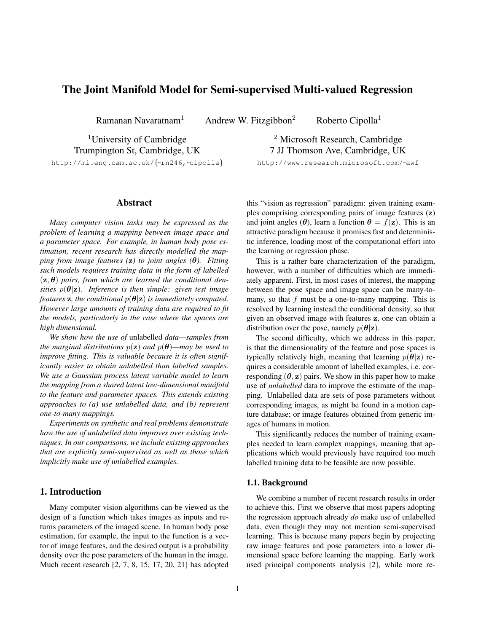# The Joint Manifold Model for Semi-supervised Multi-valued Regression

Ramanan Navaratnam<sup>1</sup> Andrew W. Fitzgibbon<sup>2</sup> Roberto Cipolla<sup>1</sup>

<sup>1</sup>University of Cambridge Trumpington St, Cambridge, UK http://mi.eng.cam.ac.uk/{~rn246,~cipolla}

## Abstract

*Many computer vision tasks may be expressed as the problem of learning a mapping between image space and a parameter space. For example, in human body pose estimation, recent research has directly modelled the mapping from image features (*z*) to joint angles (*θ*). Fitting such models requires training data in the form of labelled*  $(z, \theta)$  pairs, from which are learned the conditional den*sities*  $p(\theta|\mathbf{z})$ *. Inference is then simple: given test image features* **z**, the conditional  $p(\theta|\mathbf{z})$  *is immediately computed. However large amounts of training data are required to fit the models, particularly in the case where the spaces are high dimensional.*

*We show how the use of* unlabelled *data—samples from the marginal distributions*  $p(z)$  *and*  $p(\theta)$ —may be used to *improve fitting. This is valuable because it is often significantly easier to obtain unlabelled than labelled samples. We use a Gaussian process latent variable model to learn the mapping from a shared latent low-dimensional manifold to the feature and parameter spaces. This extends existing approaches to (a) use unlabelled data, and (b) represent one-to-many mappings.*

*Experiments on synthetic and real problems demonstrate how the use of unlabelled data improves over existing techniques. In our comparisons, we include existing approaches that are explicitly semi-supervised as well as those which implicitly make use of unlabelled examples.*

## 1. Introduction

Many computer vision algorithms can be viewed as the design of a function which takes images as inputs and returns parameters of the imaged scene. In human body pose estimation, for example, the input to the function is a vector of image features, and the desired output is a probability density over the pose parameters of the human in the image. Much recent research [2, 7, 8, 15, 17, 20, 21] has adopted

<sup>2</sup> Microsoft Research, Cambridge 7 JJ Thomson Ave, Cambridge, UK http://www.research.microsoft.com/~awf

this "vision as regression" paradigm: given training examples comprising corresponding pairs of image features (z) and joint angles ( $\theta$ ), learn a function  $\theta = f(z)$ . This is an attractive paradigm because it promises fast and deterministic inference, loading most of the computational effort into the learning or regression phase.

This is a rather bare characterization of the paradigm, however, with a number of difficulties which are immediately apparent. First, in most cases of interest, the mapping between the pose space and image space can be many-tomany, so that  $f$  must be a one-to-many mapping. This is resolved by learning instead the conditional density, so that given an observed image with features z, one can obtain a distribution over the pose, namely  $p(\theta|\mathbf{z})$ .

The second difficulty, which we address in this paper, is that the dimensionality of the feature and pose spaces is typically relatively high, meaning that learning  $p(\theta|\mathbf{z})$  requires a considerable amount of labelled examples, i.e. corresponding  $(\theta, z)$  pairs. We show in this paper how to make use of *unlabelled* data to improve the estimate of the mapping. Unlabelled data are sets of pose parameters without corresponding images, as might be found in a motion capture database; or image features obtained from generic images of humans in motion.

This significantly reduces the number of training examples needed to learn complex mappings, meaning that applications which would previously have required too much labelled training data to be feasible are now possible.

#### 1.1. Background

We combine a number of recent research results in order to achieve this. First we observe that most papers adopting the regression approach already *do* make use of unlabelled data, even though they may not mention semi-supervised learning. This is because many papers begin by projecting raw image features and pose parameters into a lower dimensional space before learning the mapping. Early work used principal components analysis [2], while more re-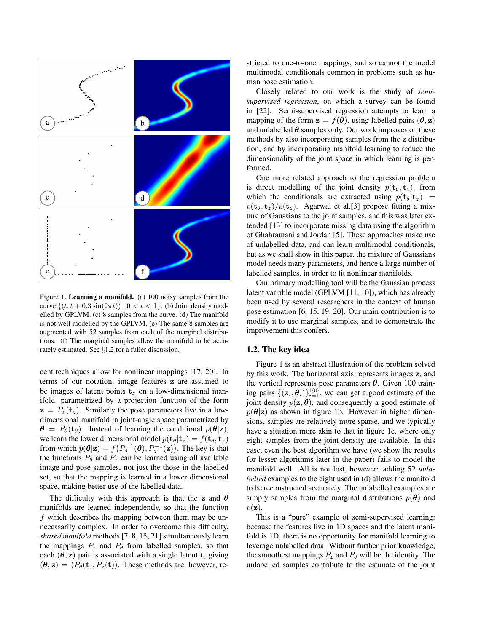

Figure 1. Learning a manifold. (a) 100 noisy samples from the curve  $\{(t, t + 0.3 \sin(2\pi t)) | 0 < t < 1\}$ . (b) Joint density modelled by GPLVM. (c) 8 samples from the curve. (d) The manifold is not well modelled by the GPLVM. (e) The same 8 samples are augmented with 52 samples from each of the marginal distributions. (f) The marginal samples allow the manifold to be accurately estimated. See §1.2 for a fuller discussion.

cent techniques allow for nonlinear mappings [17, 20]. In terms of our notation, image features z are assumed to be images of latent points  $t_z$  on a low-dimensional manifold, parametrized by a projection function of the form  $z = P_z(t_z)$ . Similarly the pose parameters live in a lowdimensional manifold in joint-angle space parametrized by  $\theta = P_{\theta}(\mathbf{t}_{\theta})$ . Instead of learning the conditional  $p(\theta|\mathbf{z})$ , we learn the lower dimensional model  $p(\mathbf{t}_{\theta}|\mathbf{t}_z) = f(\mathbf{t}_{\theta}, \mathbf{t}_z)$ from which  $p(\theta|\mathbf{z}) = f(P_{\theta}^{-1}(\theta), P_{z}^{-1}(\mathbf{z}))$ . The key is that the functions  $P_{\theta}$  and  $P_{z}$  can be learned using all available image and pose samples, not just the those in the labelled set, so that the mapping is learned in a lower dimensional space, making better use of the labelled data.

The difficulty with this approach is that the z and  $\theta$ manifolds are learned independently, so that the function  $f$  which describes the mapping between them may be unnecessarily complex. In order to overcome this difficulty, *shared manifold* methods [7, 8, 15, 21] simultaneously learn the mappings  $P_z$  and  $P_\theta$  from labelled samples, so that each  $(\theta, z)$  pair is associated with a single latent t, giving  $(\theta, \mathbf{z}) = (P_{\theta}(\mathbf{t}), P_{z}(\mathbf{t}))$ . These methods are, however, restricted to one-to-one mappings, and so cannot the model multimodal conditionals common in problems such as human pose estimation.

Closely related to our work is the study of *semisupervised regression*, on which a survey can be found in [22]. Semi-supervised regression attempts to learn a mapping of the form  $z = f(\theta)$ , using labelled pairs  $(\theta, z)$ and unlabelled  $\theta$  samples only. Our work improves on these methods by also incorporating samples from the z distribution, and by incorporating manifold learning to reduce the dimensionality of the joint space in which learning is performed.

One more related approach to the regression problem is direct modelling of the joint density  $p(t_\theta, t_\tau)$ , from which the conditionals are extracted using  $p(\mathbf{t}_{\theta}|\mathbf{t}_z)$  =  $p(\mathbf{t}_{\theta}, \mathbf{t}_{z})/p(\mathbf{t}_{z})$ . Agarwal et al.[3] propose fitting a mixture of Gaussians to the joint samples, and this was later extended [13] to incorporate missing data using the algorithm of Ghahramani and Jordan [5]. These approaches make use of unlabelled data, and can learn multimodal conditionals, but as we shall show in this paper, the mixture of Gaussians model needs many parameters, and hence a large number of labelled samples, in order to fit nonlinear manifolds.

Our primary modelling tool will be the Gaussian process latent variable model (GPLVM [11, 10]), which has already been used by several researchers in the context of human pose estimation [6, 15, 19, 20]. Our main contribution is to modify it to use marginal samples, and to demonstrate the improvement this confers.

#### 1.2. The key idea

Figure 1 is an abstract illustration of the problem solved by this work. The horizontal axis represents images z, and the vertical represents pose parameters  $\theta$ . Given 100 training pairs  $\{(\mathbf{z}_i, \theta_i)\}_{i=1}^{100}$ , we can get a good estimate of the joint density  $p(\mathbf{z}, \boldsymbol{\theta})$ , and consequently a good estimate of  $p(\theta|\mathbf{z})$  as shown in figure 1b. However in higher dimensions, samples are relatively more sparse, and we typically have a situation more akin to that in figure 1c, where only eight samples from the joint density are available. In this case, even the best algorithm we have (we show the results for lesser algorithms later in the paper) fails to model the manifold well. All is not lost, however: adding 52 *unlabelled* examples to the eight used in (d) allows the manifold to be reconstructed accurately. The unlabelled examples are simply samples from the marginal distributions  $p(\theta)$  and  $p(\mathbf{z}).$ 

This is a "pure" example of semi-supervised learning: because the features live in 1D spaces and the latent manifold is 1D, there is no opportunity for manifold learning to leverage unlabelled data. Without further prior knowledge, the smoothest mappings  $P_z$  and  $P_\theta$  will be the identity. The unlabelled samples contribute to the estimate of the joint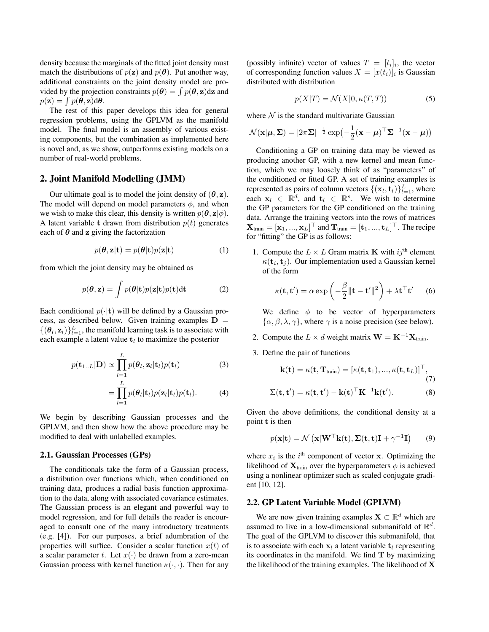density because the marginals of the fitted joint density must match the distributions of  $p(z)$  and  $p(\theta)$ . Put another way, additional constraints on the joint density model are provided by the projection constraints  $p(\theta) = \int p(\theta, z) dz$  and  $p(\mathbf{z}) = \int p(\boldsymbol{\theta}, \mathbf{z}) d\boldsymbol{\theta}.$ 

The rest of this paper develops this idea for general regression problems, using the GPLVM as the manifold model. The final model is an assembly of various existing components, but the combination as implemented here is novel and, as we show, outperforms existing models on a number of real-world problems.

### 2. Joint Manifold Modelling (JMM)

Our ultimate goal is to model the joint density of  $(\theta, z)$ . The model will depend on model parameters  $\phi$ , and when we wish to make this clear, this density is written  $p(\theta, \mathbf{z}|\phi)$ . A latent variable t drawn from distribution  $p(t)$  generates each of  $\theta$  and z giving the factorization

$$
p(\theta, \mathbf{z}|\mathbf{t}) = p(\theta|\mathbf{t})p(\mathbf{z}|\mathbf{t})
$$
 (1)

from which the joint density may be obtained as

$$
p(\theta, \mathbf{z}) = \int p(\theta | \mathbf{t}) p(\mathbf{z} | \mathbf{t}) p(\mathbf{t}) \mathrm{d}\mathbf{t}
$$
 (2)

Each conditional  $p(\cdot|\mathbf{t})$  will be defined by a Gaussian process, as described below. Given training examples  $D =$  $\{(\theta_l, \mathbf{z}_l)\}_{l=1}^L$ , the manifold learning task is to associate with each example a latent value  $t_l$  to maximize the posterior

$$
p(\mathbf{t}_{1..L}|\mathbf{D}) \propto \prod_{l=1}^{L} p(\boldsymbol{\theta}_l, \mathbf{z}_l | \mathbf{t}_l) p(\mathbf{t}_l)
$$
(3)

$$
= \prod_{l=1} p(\boldsymbol{\theta}_l | \mathbf{t}_l) p(\mathbf{z}_l | \mathbf{t}_l) p(\mathbf{t}_l).
$$
 (4)

We begin by describing Gaussian processes and the GPLVM, and then show how the above procedure may be modified to deal with unlabelled examples.

#### 2.1. Gaussian Processes (GPs)

The conditionals take the form of a Gaussian process, a distribution over functions which, when conditioned on training data, produces a radial basis function approximation to the data, along with associated covariance estimates. The Gaussian process is an elegant and powerful way to model regression, and for full details the reader is encouraged to consult one of the many introductory treatments (e.g. [4]). For our purposes, a brief adumbration of the properties will suffice. Consider a scalar function  $x(t)$  of a scalar parameter t. Let  $x(\cdot)$  be drawn from a zero-mean Gaussian process with kernel function  $\kappa(\cdot, \cdot)$ . Then for any

(possibly infinite) vector of values  $T = [t_i]_i$ , the vector of corresponding function values  $X = [x(t_i)]_i$  is Gaussian distributed with distribution

$$
p(X|T) = \mathcal{N}(X|0, \kappa(T, T))
$$
\n(5)

where  $N$  is the standard multivariate Gaussian

$$
\mathcal{N}(\mathbf{x}|\boldsymbol{\mu}, \boldsymbol{\Sigma}) = |2\pi \boldsymbol{\Sigma}|^{-\frac{1}{2}} \exp\left(-\frac{1}{2}(\mathbf{x} - \boldsymbol{\mu})^\top \boldsymbol{\Sigma}^{-1}(\mathbf{x} - \boldsymbol{\mu})\right)
$$

Conditioning a GP on training data may be viewed as producing another GP, with a new kernel and mean function, which we may loosely think of as "parameters" of the conditioned or fitted GP. A set of training examples is represented as pairs of column vectors  $\{(\mathbf{x}_l, \mathbf{t}_l)\}_{l=1}^L$ , where each  $x_l \in \mathbb{R}^d$ , and  $t_l \in \mathbb{R}^s$ . We wish to determine the GP parameters for the GP conditioned on the training data. Arrange the training vectors into the rows of matrices  $\mathbf{X}_{\text{train}} = [\mathbf{x}_1, ..., \mathbf{x}_L]^{\top}$  and  $\mathbf{T}_{\text{train}} = [\mathbf{t}_1, ..., \mathbf{t}_L]^{\top}$ . The recipe for "fitting" the GP is as follows:

1. Compute the  $L \times L$  Gram matrix **K** with  $ij^{\text{th}}$  element  $\kappa(\mathbf{t}_i, \mathbf{t}_j)$ . Our implementation used a Gaussian kernel of the form

$$
\kappa(\mathbf{t}, \mathbf{t}') = \alpha \exp\left(-\frac{\beta}{2} \|\mathbf{t} - \mathbf{t}'\|^2\right) + \lambda \mathbf{t}^\top \mathbf{t}' \qquad (6)
$$

We define  $\phi$  to be vector of hyperparameters  $\{\alpha, \beta, \lambda, \gamma\}$ , where  $\gamma$  is a noise precision (see below).

- 2. Compute the  $L \times d$  weight matrix  $\mathbf{W} = \mathbf{K}^{-1} \mathbf{X}_{train}$ .
- 3. Define the pair of functions

$$
\mathbf{k}(\mathbf{t}) = \kappa(\mathbf{t}, \mathbf{T}_{\text{train}}) = [\kappa(\mathbf{t}, \mathbf{t}_1), ..., \kappa(\mathbf{t}, \mathbf{t}_L)]^\top, \n\Sigma(\mathbf{t}, \mathbf{t}') = \kappa(\mathbf{t}, \mathbf{t}') - \mathbf{k}(\mathbf{t})^\top \mathbf{K}^{-1} \mathbf{k}(\mathbf{t}').
$$
\n(8)

Given the above definitions, the conditional density at a point t is then

$$
p(\mathbf{x}|\mathbf{t}) = \mathcal{N}\left(\mathbf{x}|\mathbf{W}^{\top}\mathbf{k}(\mathbf{t}), \Sigma(\mathbf{t}, \mathbf{t})\mathbf{I} + \gamma^{-1}\mathbf{I}\right)
$$
(9)

where  $x_i$  is the i<sup>th</sup> component of vector x. Optimizing the likelihood of  $X_{train}$  over the hyperparameters  $\phi$  is achieved using a nonlinear optimizer such as scaled conjugate gradient [10, 12].

### 2.2. GP Latent Variable Model (GPLVM)

We are now given training examples  $X \subset \mathbb{R}^d$  which are assumed to live in a low-dimensional submanifold of  $\mathbb{R}^d$ . The goal of the GPLVM to discover this submanifold, that is to associate with each  $x_l$  a latent variable  $t_l$  representing its coordinates in the manifold. We find  $T$  by maximizing the likelihood of the training examples. The likelihood of X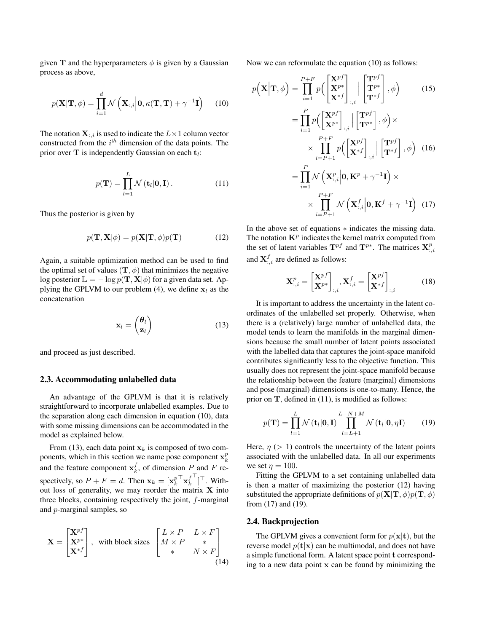given T and the hyperparameters  $\phi$  is given by a Gaussian process as above,

$$
p(\mathbf{X}|\mathbf{T},\phi) = \prod_{i=1}^{d} \mathcal{N}\left(\mathbf{X}_{:,i} \middle| \mathbf{0}, \kappa(\mathbf{T}, \mathbf{T}) + \gamma^{-1} \mathbf{I}\right)
$$
 (10)

The notation  $X_{:,i}$  is used to indicate the  $L\times 1$  column vector constructed from the  $i<sup>th</sup>$  dimension of the data points. The prior over T is independently Gaussian on each  $t_i$ :

$$
p(\mathbf{T}) = \prod_{l=1}^{L} \mathcal{N}(\mathbf{t}_l | \mathbf{0}, \mathbf{I}).
$$
 (11)

Thus the posterior is given by

$$
p(\mathbf{T}, \mathbf{X} | \phi) = p(\mathbf{X} | \mathbf{T}, \phi) p(\mathbf{T}) \tag{12}
$$

Again, a suitable optimization method can be used to find the optimal set of values  $(\mathbf{T}, \phi)$  that minimizes the negative log posterior  $\mathbb{L} = -\log p(\mathbf{T}, \mathbf{X} | \phi)$  for a given data set. Applying the GPLVM to our problem (4), we define  $x_l$  as the concatenation

$$
\mathbf{x}_l = \begin{pmatrix} \boldsymbol{\theta}_l \\ \mathbf{z}_l \end{pmatrix} \tag{13}
$$

and proceed as just described.

#### 2.3. Accommodating unlabelled data

An advantage of the GPLVM is that it is relatively straightforward to incorporate unlabelled examples. Due to the separation along each dimension in equation (10), data with some missing dimensions can be accommodated in the model as explained below.

From (13), each data point  $x_k$  is composed of two components, which in this section we name pose component  $x_k^p$ and the feature component  $x_k^f$ , of dimension P and F respectively, so  $P + F = d$ . Then  $\mathbf{x}_k = [\mathbf{x}_k^p]$  ${}^{\top}\mathbf{x}^f_k$  $\bigcap_{i=1}^{\mathsf{T}}$ . Without loss of generality, we may reorder the matrix  $X$  into three blocks, containing respectively the joint, f-marginal and p-marginal samples, so

$$
\mathbf{X} = \begin{bmatrix} \mathbf{X}^{pf} \\ \mathbf{X}^{p*} \\ \mathbf{X}^{*f} \end{bmatrix}, \text{ with block sizes } \begin{bmatrix} L \times P & L \times F \\ M \times P & * \\ * & N \times F \end{bmatrix}
$$
\n
$$
\begin{bmatrix} (14) \end{bmatrix}
$$

Now we can reformulate the equation (10) as follows:

$$
p(\mathbf{X}|\mathbf{T},\phi) = \prod_{i=1}^{P+F} p\left(\begin{bmatrix} \mathbf{X}^{pf} \\ \mathbf{X}^{**} \end{bmatrix}_{:,i} \middle| \begin{bmatrix} \mathbf{T}^{pf} \\ \mathbf{T}^{*f} \end{bmatrix}, \phi\right) \qquad (15)
$$
  
\n
$$
= \prod_{i=1}^{P} p\left(\begin{bmatrix} \mathbf{X}^{pf} \\ \mathbf{X}^{**} \end{bmatrix}_{:,i} \middle| \begin{bmatrix} \mathbf{T}^{pf} \\ \mathbf{T}^{r*} \end{bmatrix}, \phi\right) \times
$$
  
\n
$$
\times \prod_{i=P+1}^{P+F} p\left(\begin{bmatrix} \mathbf{X}^{pf} \\ \mathbf{X}^{*f} \end{bmatrix}_{:,i} \middle| \begin{bmatrix} \mathbf{T}^{pf} \\ \mathbf{T}^{*f} \end{bmatrix}, \phi\right) \qquad (16)
$$
  
\n
$$
= \prod_{i=1}^{P} \mathcal{N}\left(\mathbf{X}_{:,i}^{p} \middle| \mathbf{0}, \mathbf{K}^{p} + \gamma^{-1} \mathbf{I}\right) \times
$$
  
\n
$$
\times \prod_{i=P+1}^{P+F} \mathcal{N}\left(\mathbf{X}_{:,i}^{f} \middle| \mathbf{0}, \mathbf{K}^{f} + \gamma^{-1} \mathbf{I}\right) \qquad (17)
$$

In the above set of equations ∗ indicates the missing data. The notation  $\mathbf{K}^p$  indicates the kernel matrix computed from the set of latent variables  $\mathbf{T}^{pf}$  and  $\mathbf{T}^{p*}$ . The matrices  $\mathbf{X}_{:,i}^p$ and  $\mathbf{X}_{:,i}^f$  are defined as follows:

$$
\mathbf{X}_{:,i}^{p} = \begin{bmatrix} \mathbf{X}^{pf} \\ \mathbf{X}^{p*} \end{bmatrix}_{:,i}, \mathbf{X}_{:,i}^{f} = \begin{bmatrix} \mathbf{X}^{pf} \\ \mathbf{X}^{*f} \end{bmatrix}_{:,i}
$$
(18)

It is important to address the uncertainty in the latent coordinates of the unlabelled set properly. Otherwise, when there is a (relatively) large number of unlabelled data, the model tends to learn the manifolds in the marginal dimensions because the small number of latent points associated with the labelled data that captures the joint-space manifold contributes significantly less to the objective function. This usually does not represent the joint-space manifold because the relationship between the feature (marginal) dimensions and pose (marginal) dimensions is one-to-many. Hence, the prior on  $T$ , defined in (11), is modified as follows:

$$
p(\mathbf{T}) = \prod_{l=1}^{L} \mathcal{N}(\mathbf{t}_l | \mathbf{0}, \mathbf{I}) \prod_{l=L+1}^{L+N+M} \mathcal{N}(\mathbf{t}_l | \mathbf{0}, \eta \mathbf{I})
$$
(19)

Here,  $\eta$  ( $> 1$ ) controls the uncertainty of the latent points associated with the unlabelled data. In all our experiments we set  $\eta = 100$ .

Fitting the GPLVM to a set containing unlabelled data is then a matter of maximizing the posterior (12) having substituted the appropriate definitions of  $p(X|T, \phi)p(T, \phi)$ from (17) and (19).

#### 2.4. Backprojection

The GPLVM gives a convenient form for  $p(x|t)$ , but the reverse model  $p(\mathbf{t}|\mathbf{x})$  can be multimodal, and does not have a simple functional form. A latent space point t corresponding to a new data point x can be found by minimizing the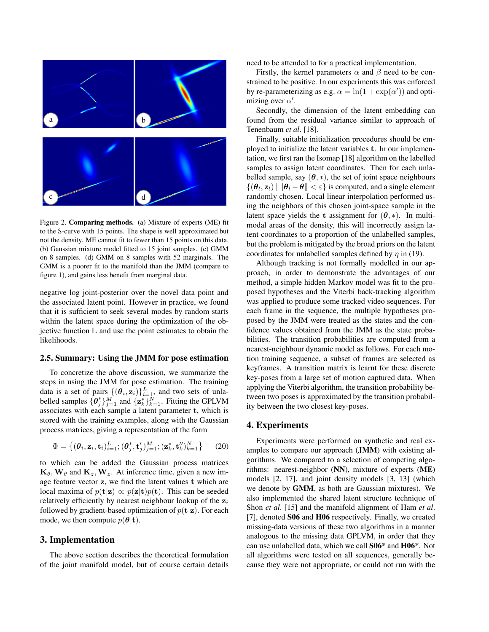

Figure 2. Comparing methods. (a) Mixture of experts (ME) fit to the S-curve with 15 points. The shape is well approximated but not the density. ME cannot fit to fewer than 15 points on this data. (b) Gaussian mixture model fitted to 15 joint samples. (c) GMM on 8 samples. (d) GMM on 8 samples with 52 marginals. The GMM is a poorer fit to the manifold than the JMM (compare to figure 1), and gains less benefit from marginal data.

negative log joint-posterior over the novel data point and the associated latent point. However in practice, we found that it is sufficient to seek several modes by random starts within the latent space during the optimization of the objective function  $\mathbb L$  and use the point estimates to obtain the likelihoods.

#### 2.5. Summary: Using the JMM for pose estimation

To concretize the above discussion, we summarize the steps in using the JMM for pose estimation. The training data is a set of pairs  $\{(\theta_i, \mathbf{z}_i)\}_{i=1}^L$ , and two sets of unlabelled samples  $\{\theta_j^*\}_{j=1}^M$  and  $\{\mathbf{z}_k^*\}_{k=1}^N$ . Fitting the GPLVM associates with each sample a latent parameter t, which is stored with the training examples, along with the Gaussian process matrices, giving a representation of the form

$$
\Phi = \{(\boldsymbol{\theta}_i, \mathbf{z}_i, \mathbf{t}_i)_{i=1}^L; (\boldsymbol{\theta}_j^*, \mathbf{t}_j')_{j=1}^M; (\mathbf{z}_k^*, \mathbf{t}_k'')_{k=1}^N\}
$$
(20)

to which can be added the Gaussian process matrices  ${\bf K}_{\theta}, {\bf W}_{\theta}$  and  ${\bf K}_z, {\bf W}_z$ . At inference time, given a new image feature vector z, we find the latent values t which are local maxima of  $p(\mathbf{t}|\mathbf{z}) \propto p(\mathbf{z}|\mathbf{t})p(\mathbf{t})$ . This can be seeded relatively efficiently by nearest neighbour lookup of the  $z_i$ followed by gradient-based optimization of  $p(t|z)$ . For each mode, we then compute  $p(\theta|\mathbf{t})$ .

## 3. Implementation

The above section describes the theoretical formulation of the joint manifold model, but of course certain details

need to be attended to for a practical implementation.

Firstly, the kernel parameters  $\alpha$  and  $\beta$  need to be constrained to be positive. In our experiments this was enforced by re-parameterizing as e.g.  $\alpha = \ln(1 + \exp(\alpha'))$  and optimizing over  $\alpha'$ .

Secondly, the dimension of the latent embedding can found from the residual variance similar to approach of Tenenbaum *et al*. [18].

Finally, suitable initialization procedures should be employed to initialize the latent variables t. In our implementation, we first ran the Isomap [18] algorithm on the labelled samples to assign latent coordinates. Then for each unlabelled sample, say  $(\theta, *)$ , the set of joint space neighbours  $\{(\theta_l, \mathbf{z}_l) \mid \|\theta_l - \theta\| < \varepsilon\}$  is computed, and a single element randomly chosen. Local linear interpolation performed using the neighbors of this chosen joint-space sample in the latent space yields the t assignment for  $(\theta, *)$ . In multimodal areas of the density, this will incorrectly assign latent coordinates to a proportion of the unlabelled samples, but the problem is mitigated by the broad priors on the latent coordinates for unlabelled samples defined by  $\eta$  in (19).

Although tracking is not formally modelled in our approach, in order to demonstrate the advantages of our method, a simple hidden Markov model was fit to the proposed hypotheses and the Viterbi back-tracking algorithm was applied to produce some tracked video sequences. For each frame in the sequence, the multiple hypotheses proposed by the JMM were treated as the states and the confidence values obtained from the JMM as the state probabilities. The transition probabilities are computed from a nearest-neighbour dynamic model as follows. For each motion training sequence, a subset of frames are selected as keyframes. A transition matrix is learnt for these discrete key-poses from a large set of motion captured data. When applying the Viterbi algorithm, the transition probability between two poses is approximated by the transition probability between the two closest key-poses.

### 4. Experiments

Experiments were performed on synthetic and real examples to compare our approach (JMM) with existing algorithms. We compared to a selection of competing algorithms: nearest-neighbor (NN), mixture of experts (ME) models [2, 17], and joint density models [3, 13] (which we denote by GMM, as both are Gaussian mixtures). We also implemented the shared latent structure technique of Shon *et al*. [15] and the manifold alignment of Ham *et al*. [7], denoted **S06** and **H06** respectively. Finally, we created missing-data versions of these two algorithms in a manner analogous to the missing data GPLVM, in order that they can use unlabelled data, which we call S06\* and H06\*. Not all algorithms were tested on all sequences, generally because they were not appropriate, or could not run with the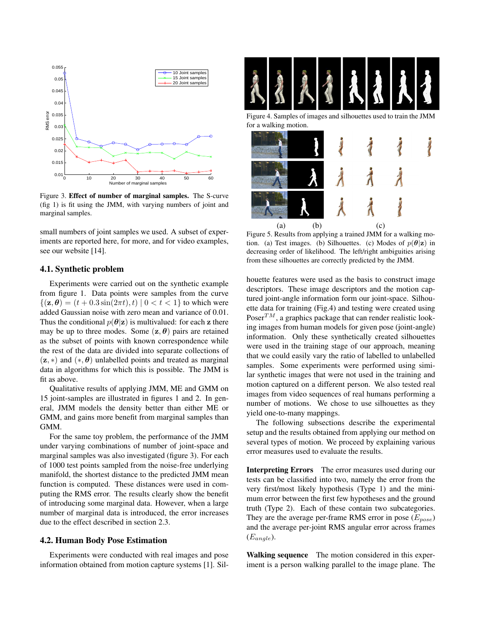

Figure 3. Effect of number of marginal samples. The S-curve (fig 1) is fit using the JMM, with varying numbers of joint and marginal samples.

small numbers of joint samples we used. A subset of experiments are reported here, for more, and for video examples, see our website [14].

#### 4.1. Synthetic problem

Experiments were carried out on the synthetic example from figure 1. Data points were samples from the curve  $\{(\mathbf{z}, \theta) = (t + 0.3 \sin(2\pi t), t) | 0 < t < 1\}$  to which were added Gaussian noise with zero mean and variance of 0.01. Thus the conditional  $p(\theta|\mathbf{z})$  is multivalued: for each z there may be up to three modes. Some  $(z, \theta)$  pairs are retained as the subset of points with known correspondence while the rest of the data are divided into separate collections of  $(z, *)$  and  $(*, \theta)$  unlabelled points and treated as marginal data in algorithms for which this is possible. The JMM is fit as above.

Qualitative results of applying JMM, ME and GMM on 15 joint-samples are illustrated in figures 1 and 2. In general, JMM models the density better than either ME or GMM, and gains more benefit from marginal samples than GMM.

For the same toy problem, the performance of the JMM under varying combinations of number of joint-space and marginal samples was also investigated (figure 3). For each of 1000 test points sampled from the noise-free underlying manifold, the shortest distance to the predicted JMM mean function is computed. These distances were used in computing the RMS error. The results clearly show the benefit of introducing some marginal data. However, when a large number of marginal data is introduced, the error increases due to the effect described in section 2.3.

#### 4.2. Human Body Pose Estimation

Experiments were conducted with real images and pose information obtained from motion capture systems [1]. Sil-



Figure 4. Samples of images and silhouettes used to train the JMM for a walking motion.



Figure 5. Results from applying a trained JMM for a walking motion. (a) Test images. (b) Silhouettes. (c) Modes of  $p(\theta|\mathbf{z})$  in decreasing order of likelihood. The left/right ambiguities arising from these silhouettes are correctly predicted by the JMM.

houette features were used as the basis to construct image descriptors. These image descriptors and the motion captured joint-angle information form our joint-space. Silhouette data for training (Fig.4) and testing were created using Poser<sup>TM</sup>, a graphics package that can render realistic looking images from human models for given pose (joint-angle) information. Only these synthetically created silhouettes were used in the training stage of our approach, meaning that we could easily vary the ratio of labelled to unlabelled samples. Some experiments were performed using similar synthetic images that were not used in the training and motion captured on a different person. We also tested real images from video sequences of real humans performing a number of motions. We chose to use silhouettes as they yield one-to-many mappings.

The following subsections describe the experimental setup and the results obtained from applying our method on several types of motion. We proceed by explaining various error measures used to evaluate the results.

Interpreting Errors The error measures used during our tests can be classified into two, namely the error from the very first/most likely hypothesis (Type 1) and the minimum error between the first few hypotheses and the ground truth (Type 2). Each of these contain two subcategories. They are the average per-frame RMS error in pose  $(E_{pose})$ and the average per-joint RMS angular error across frames  $(E_{angle})$ .

Walking sequence The motion considered in this experiment is a person walking parallel to the image plane. The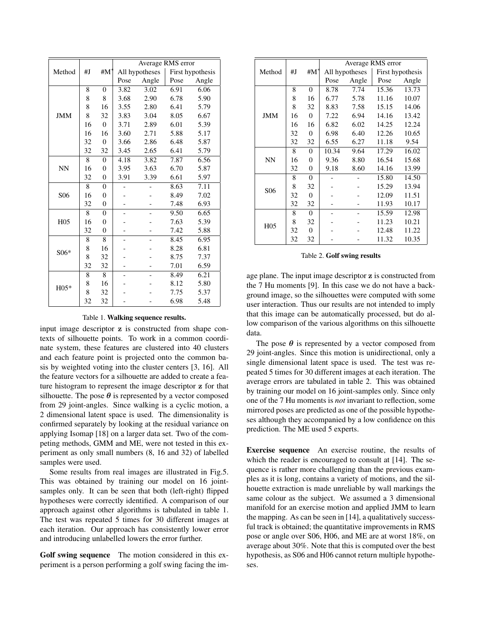|                 |    |                | Average RMS error |                |                  |       |  |  |
|-----------------|----|----------------|-------------------|----------------|------------------|-------|--|--|
| Method          | #J | #M*            |                   | All hypotheses | First hypothesis |       |  |  |
|                 |    |                | Pose              | Angle          | Pose             | Angle |  |  |
| <b>JMM</b>      | 8  | $\overline{0}$ | 3.82              | 3.02           | 6.91             | 6.06  |  |  |
|                 | 8  | 8              | 3.68              | 2.90           | 6.78             | 5.90  |  |  |
|                 | 8  | 16             | 3.55              | 2.80           | 6.41             | 5.79  |  |  |
|                 | 8  | 32             | 3.83              | 3.04           | 8.05             | 6.67  |  |  |
|                 | 16 | $\theta$       | 3.71              | 2.89           | 6.01             | 5.39  |  |  |
|                 | 16 | 16             | 3.60              | 2.71           | 5.88             | 5.17  |  |  |
|                 | 32 | $\overline{0}$ | 3.66              | 2.86           | 6.48             | 5.87  |  |  |
|                 | 32 | 32             | 3.45              | 2.65           | 6.41             | 5.79  |  |  |
| NN              | 8  | $\overline{0}$ | 4.18              | 3.82           | 7.87             | 6.56  |  |  |
|                 | 16 | $\theta$       | 3.95              | 3.63           | 6.70             | 5.87  |  |  |
|                 | 32 | $\overline{0}$ | 3.91              | 3.39           | 6.61             | 5.97  |  |  |
| S <sub>06</sub> | 8  | $\overline{0}$ |                   |                | 8.63             | 7.11  |  |  |
|                 | 16 | $\overline{0}$ |                   |                | 8.49             | 7.02  |  |  |
|                 | 32 | $\overline{0}$ |                   |                | 7.48             | 6.93  |  |  |
| H <sub>05</sub> | 8  | $\overline{0}$ |                   |                | 9.50             | 6.65  |  |  |
|                 | 16 | $\overline{0}$ |                   |                | 7.63             | 5.39  |  |  |
|                 | 32 | $\overline{0}$ |                   |                | 7.42             | 5.88  |  |  |
| S06*            | 8  | 8              |                   |                | 8.45             | 6.95  |  |  |
|                 | 8  | 16             |                   |                | 8.28             | 6.81  |  |  |
|                 | 8  | 32             |                   |                | 8.75             | 7.37  |  |  |
|                 | 32 | 32             |                   |                | 7.01             | 6.59  |  |  |
| $H05*$          | 8  | 8              |                   |                | 8.49             | 6.21  |  |  |
|                 | 8  | 16             |                   |                | 8.12             | 5.80  |  |  |
|                 | 8  | 32             |                   |                | 7.75             | 5.37  |  |  |
|                 | 32 | 32             |                   |                | 6.98             | 5.48  |  |  |

Table 1. Walking sequence results.

input image descriptor z is constructed from shape contexts of silhouette points. To work in a common coordinate system, these features are clustered into 40 clusters and each feature point is projected onto the common basis by weighted voting into the cluster centers [3, 16]. All the feature vectors for a silhouette are added to create a feature histogram to represent the image descriptor z for that silhouette. The pose  $\theta$  is represented by a vector composed from 29 joint-angles. Since walking is a cyclic motion, a 2 dimensional latent space is used. The dimensionality is confirmed separately by looking at the residual variance on applying Isomap [18] on a larger data set. Two of the competing methods, GMM and ME, were not tested in this experiment as only small numbers (8, 16 and 32) of labelled samples were used.

Some results from real images are illustrated in Fig.5. This was obtained by training our model on 16 jointsamples only. It can be seen that both (left-right) flipped hypotheses were correctly identified. A comparison of our approach against other algorithms is tabulated in table 1. The test was repeated 5 times for 30 different images at each iteration. Our approach has consistently lower error and introducing unlabelled lowers the error further.

Golf swing sequence The motion considered in this experiment is a person performing a golf swing facing the im-

|                 |    |                | Average RMS error |       |                  |       |  |
|-----------------|----|----------------|-------------------|-------|------------------|-------|--|
| Method          | #J | # $M^*$        | All hypotheses    |       | First hypothesis |       |  |
|                 |    |                | Pose              | Angle | Pose             | Angle |  |
|                 | 8  | 0              | 8.78              | 7.74  | 15.36            | 13.73 |  |
|                 | 8  | 16             | 6.77              | 5.78  | 11.16            | 10.07 |  |
| JMM             | 8  | 32             | 8.83              | 7.58  | 15.15            | 14.06 |  |
|                 | 16 | $\Omega$       | 7.22              | 6.94  | 14.16            | 13.42 |  |
|                 | 16 | 16             | 6.82              | 6.02  | 14.25            | 12.24 |  |
|                 | 32 | $\overline{0}$ | 6.98              | 6.40  | 12.26            | 10.65 |  |
|                 | 32 | 32             | 6.55              | 6.27  | 11.18            | 9.54  |  |
| NN              | 8  | $\theta$       | 10.34             | 9.64  | 17.29            | 16.02 |  |
|                 | 16 | 0              | 9.36              | 8.80  | 16.54            | 15.68 |  |
|                 | 32 | $\overline{0}$ | 9.18              | 8.60  | 14.16            | 13.99 |  |
| S <sub>06</sub> | 8  | $\theta$       |                   |       | 15.80            | 14.50 |  |
|                 | 8  | 32             |                   |       | 15.29            | 13.94 |  |
|                 | 32 | $\theta$       |                   |       | 12.09            | 11.51 |  |
|                 | 32 | 32             |                   |       | 11.93            | 10.17 |  |
| H <sub>05</sub> | 8  | $\overline{0}$ |                   |       | 15.59            | 12.98 |  |
|                 | 8  | 32             |                   |       | 11.23            | 10.21 |  |
|                 | 32 | $\Omega$       |                   |       | 12.48            | 11.22 |  |
|                 | 32 | 32             |                   |       | 11.32            | 10.35 |  |

#### Table 2. Golf swing results

age plane. The input image descriptor z is constructed from the 7 Hu moments [9]. In this case we do not have a background image, so the silhouettes were computed with some user interaction. Thus our results are not intended to imply that this image can be automatically processed, but do allow comparison of the various algorithms on this silhouette data.

The pose  $\theta$  is represented by a vector composed from 29 joint-angles. Since this motion is unidirectional, only a single dimensional latent space is used. The test was repeated 5 times for 30 different images at each iteration. The average errors are tabulated in table 2. This was obtained by training our model on 16 joint-samples only. Since only one of the 7 Hu moments is *not* invariant to reflection, some mirrored poses are predicted as one of the possible hypotheses although they accompanied by a low confidence on this prediction. The ME used 5 experts.

Exercise sequence An exercise routine, the results of which the reader is encouraged to consult at [14]. The sequence is rather more challenging than the previous examples as it is long, contains a variety of motions, and the silhouette extraction is made unreliable by wall markings the same colour as the subject. We assumed a 3 dimensional manifold for an exercise motion and applied JMM to learn the mapping. As can be seen in [14], a qualitatively successful track is obtained; the quantitative improvements in RMS pose or angle over S06, H06, and ME are at worst 18%, on average about 30%. Note that this is computed over the best hypothesis, as S06 and H06 cannot return multiple hypotheses.